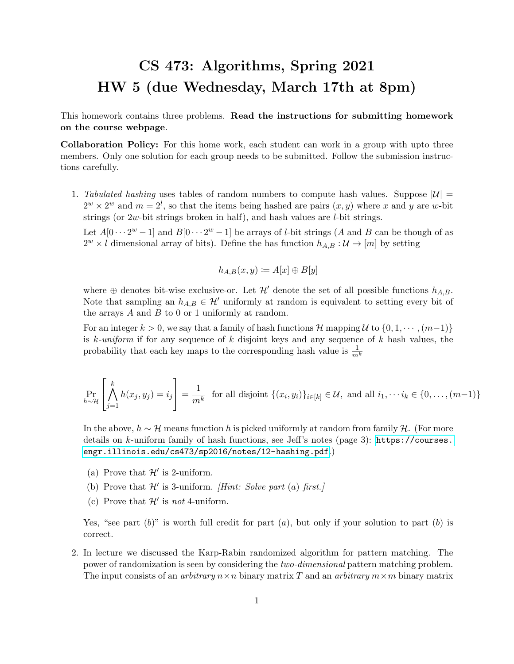## CS 473: Algorithms, Spring 2021 HW 5 (due Wednesday, March 17th at 8pm)

This homework contains three problems. Read the instructions for submitting homework on the course webpage.

Collaboration Policy: For this home work, each student can work in a group with upto three members. Only one solution for each group needs to be submitted. Follow the submission instructions carefully.

1. Tabulated hashing uses tables of random numbers to compute hash values. Suppose  $|\mathcal{U}| =$  $2^w \times 2^w$  and  $m = 2^l$ , so that the items being hashed are pairs  $(x, y)$  where x and y are w-bit strings (or 2w-bit strings broken in half), and hash values are l-bit strings.

Let  $A[0\cdots 2^w-1]$  and  $B[0\cdots 2^w-1]$  be arrays of *l*-bit strings (A and B can be though of as  $2^w \times l$  dimensional array of bits). Define the has function  $h_{A,B}: \mathcal{U} \to [m]$  by setting

$$
h_{A,B}(x,y) \coloneqq A[x] \oplus B[y]
$$

where  $\oplus$  denotes bit-wise exclusive-or. Let  $\mathcal{H}'$  denote the set of all possible functions  $h_{A,B}$ . Note that sampling an  $h_{A,B} \in \mathcal{H}'$  uniformly at random is equivalent to setting every bit of the arrays  $A$  and  $B$  to 0 or 1 uniformly at random.

For an integer  $k > 0$ , we say that a family of hash functions H mapping U to  $\{0, 1, \dots, (m-1)\}\$ is k-uniform if for any sequence of k disjoint keys and any sequence of k hash values, the probability that each key maps to the corresponding hash value is  $\frac{1}{m^k}$ 

$$
\Pr_{h \sim \mathcal{H}}\left[\bigwedge_{j=1}^{k} h(x_j, y_j) = i_j\right] = \frac{1}{m^k} \text{ for all disjoint } \{(x_i, y_i)\}_{i \in [k]} \in \mathcal{U}, \text{ and all } i_1, \dots, i_k \in \{0, \dots, (m-1)\}
$$

In the above,  $h \sim \mathcal{H}$  means function h is picked uniformly at random from family  $\mathcal{H}$ . (For more details on k-uniform family of hash functions, see Jeff's notes (page 3): [https://courses.](https://courses.engr.illinois.edu/cs473/sp2016/notes/12-hashing.pdf) [engr.illinois.edu/cs473/sp2016/notes/12-hashing.pdf](https://courses.engr.illinois.edu/cs473/sp2016/notes/12-hashing.pdf).)

- (a) Prove that  $\mathcal{H}'$  is 2-uniform.
- (b) Prove that  $\mathcal{H}'$  is 3-uniform. *[Hint: Solve part (a) first.]*
- (c) Prove that  $\mathcal{H}'$  is not 4-uniform.

Yes, "see part  $(b)$ " is worth full credit for part  $(a)$ , but only if your solution to part  $(b)$  is correct.

2. In lecture we discussed the Karp-Rabin randomized algorithm for pattern matching. The power of randomization is seen by considering the two-dimensional pattern matching problem. The input consists of an *arbitrary*  $n \times n$  binary matrix T and an *arbitrary*  $m \times m$  binary matrix